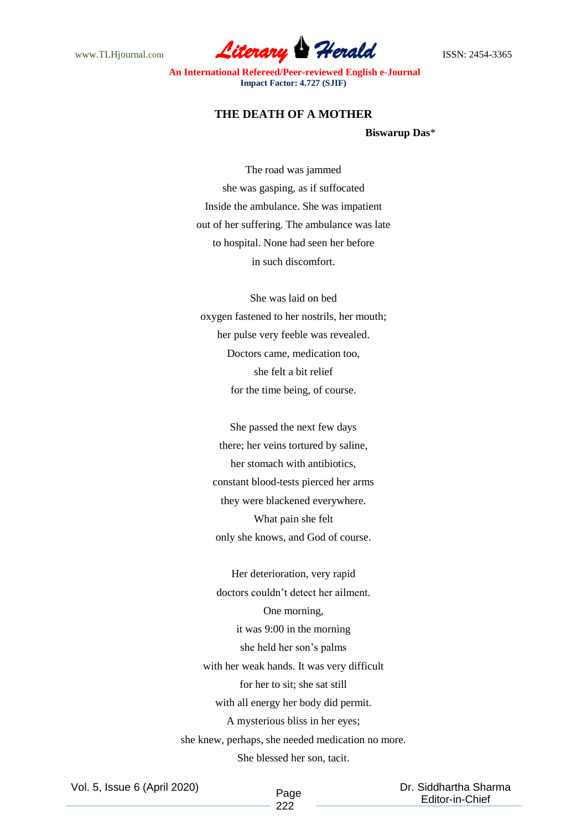www.TLHjournal.com **Literary Herald Herald ISSN: 2454-3365** 

**An International Refereed/Peer-reviewed English e-Journal Impact Factor: 4.727 (SJIF)**

## **THE DEATH OF A MOTHER**

**Biswarup Das**\*

The road was jammed she was gasping, as if suffocated Inside the ambulance. She was impatient out of her suffering. The ambulance was late to hospital. None had seen her before in such discomfort.

She was laid on bed oxygen fastened to her nostrils, her mouth; her pulse very feeble was revealed. Doctors came, medication too, she felt a bit relief for the time being, of course.

She passed the next few days there; her veins tortured by saline, her stomach with antibiotics, constant blood-tests pierced her arms they were blackened everywhere. What pain she felt only she knows, and God of course.

Her deterioration, very rapid doctors couldn't detect her ailment. One morning, it was 9:00 in the morning she held her son's palms with her weak hands. It was very difficult for her to sit; she sat still with all energy her body did permit. A mysterious bliss in her eyes; she knew, perhaps, she needed medication no more. She blessed her son, tacit.

Vol. 5, Issue 6 (April 2020)

Page 222

 Dr. Siddhartha Sharma Editor-in-Chief